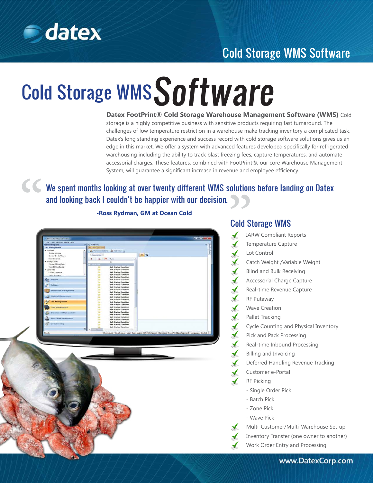

## Cold Storage WMS Software

# Cold Storage WMS Software

**Datex FootPrint® Cold Storage Warehouse Management Software (WMS)** Cold storage is a highly competitive business with sensitive products requiring fast turnaround. The challenges of low temperature restriction in a warehouse make tracking inventory a complicated task. Datex's long standing experience and success record with cold storage software solutions gives us an edge in this market. We offer a system with advanced features developed specifically for refrigerated warehousing including the ability to track blast freezing fees, capture temperatures, and automate accessorial charges. These features, combined with FootPrint®, our core Warehouse Management System, will guarantee a significant increase in revenue and employee efficiency.

# Solution<br>Cold St<br>X<sup>IAR</sup> We spent months looking at over twenty different WMS solutions before landing on Datex and looking back I couldn't be happier with our decision.



#### **-Ross Rydman, GM at Ocean Cold**

#### Cold Storage WMS

IARW Compliant Reports  $\blacktriangleleft$ Temperature Capture  $\blacktriangleright$ Lot Control  $\blacktriangle$ Catch Weight /Variable Weight  $\blacktriangleright$ Blind and Bulk Receiving  $\mathbf{r}$ Accessorial Charge Capture  $\blacktriangle$ Real-time Revenue Capture  $\overline{\mathcal{X}}$ RF Putaway  $\blacktriangleright$ Wave Creation  $\blacktriangledown$ Pallet Tracking  $\blacktriangledown$ Cycle Counting and Physical Inventory  $\blacktriangleright$ Pick and Pack Processing  $\blacktriangle$ Real-time Inbound Processing  $\mathbf{r}$ Billing and Invoicing Deferred Handling Revenue Tracking  $\blacktriangledown$ Customer e-Portal  $\sqrt{ }$ RF Picking - Single Order Pick - Batch Pick - Zone Pick - Wave Pick Multi-Customer/Multi-Warehouse Set-up Inventory Transfer (one owner to another) Work Order Entry and Processing

www.DatexCorp.com